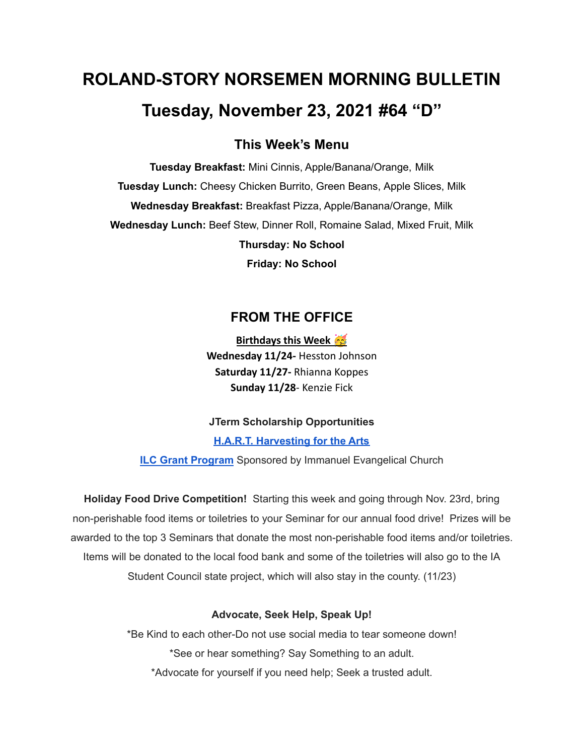# **ROLAND-STORY NORSEMEN MORNING BULLETIN Tuesday, November 23, 2021 #64 "D"**

# **This Week's Menu**

**Tuesday Breakfast:** Mini Cinnis, Apple/Banana/Orange, Milk **Tuesday Lunch:** Cheesy Chicken Burrito, Green Beans, Apple Slices, Milk **Wednesday Breakfast:** Breakfast Pizza, Apple/Banana/Orange, Milk **Wednesday Lunch:** Beef Stew, Dinner Roll, Romaine Salad, Mixed Fruit, Milk **Thursday: No School Friday: No School**

# **FROM THE OFFICE**

**Birthdays this Week Wednesday 11/24-** Hesston Johnson **Saturday 11/27-** Rhianna Koppes **Sunday 11/28**- Kenzie Fick

**JTerm Scholarship Opportunities**

**H.A.R.T. [Harvesting](https://drive.google.com/file/d/11g4-lZB5o7SgG3y5R4Ux7ycNKvq857Rx/view?usp=sharing) for the Arts**

**ILC Grant [Program](https://docs.google.com/document/d/1b9DHMpZaVSj48gvRrAlQ3TA3HICpz-mx/edit?usp=sharing&ouid=114282091537110464265&rtpof=true&sd=true)** Sponsored by Immanuel Evangelical Church

**Holiday Food Drive Competition!** Starting this week and going through Nov. 23rd, bring non-perishable food items or toiletries to your Seminar for our annual food drive! Prizes will be awarded to the top 3 Seminars that donate the most non-perishable food items and/or toiletries. Items will be donated to the local food bank and some of the toiletries will also go to the IA Student Council state project, which will also stay in the county. (11/23)

## **Advocate, Seek Help, Speak Up!**

\*Be Kind to each other-Do not use social media to tear someone down! \*See or hear something? Say Something to an adult. \*Advocate for yourself if you need help; Seek a trusted adult.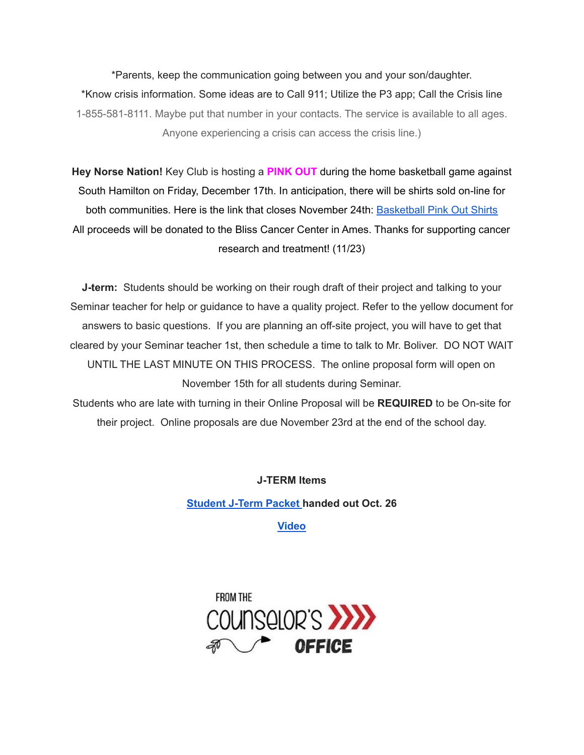\*Parents, keep the communication going between you and your son/daughter. \*Know crisis information. Some ideas are to Call 911; Utilize the P3 app; Call the Crisis line 1-855-581-8111. Maybe put that number in your contacts. The service is available to all ages. Anyone experiencing a crisis can access the crisis line.)

**Hey Norse Nation!** Key Club is hosting a **PINK OUT** during the home basketball game against South Hamilton on Friday, December 17th. In anticipation, there will be shirts sold on-line for both communities. Here is the link that closes November 24th: [Basketball](https://rsshcvc21.itemorder.com/shop/sale/?saleCode=VJQ3K) Pink Out Shirts All proceeds will be donated to the Bliss Cancer Center in Ames. Thanks for supporting cancer research and treatment! (11/23)

**J-term:** Students should be working on their rough draft of their project and talking to your Seminar teacher for help or guidance to have a quality project. Refer to the yellow document for answers to basic questions. If you are planning an off-site project, you will have to get that cleared by your Seminar teacher 1st, then schedule a time to talk to Mr. Boliver. DO NOT WAIT UNTIL THE LAST MINUTE ON THIS PROCESS. The online proposal form will open on November 15th for all students during Seminar.

Students who are late with turning in their Online Proposal will be **REQUIRED** to be On-site for their project. Online proposals are due November 23rd at the end of the school day.

**J-TERM Items**

**[Student](https://drive.google.com/file/d/1h6QugcDvlDevR3f9EywbUQrqVqyCPD5n/view?usp=sharing) J-Term Packet handed out Oct. 26**

**[Video](https://drive.google.com/file/d/1-IjAQRz891m66mXs_V_s9qC8_1HN0Jw_/view?usp=sharing)**